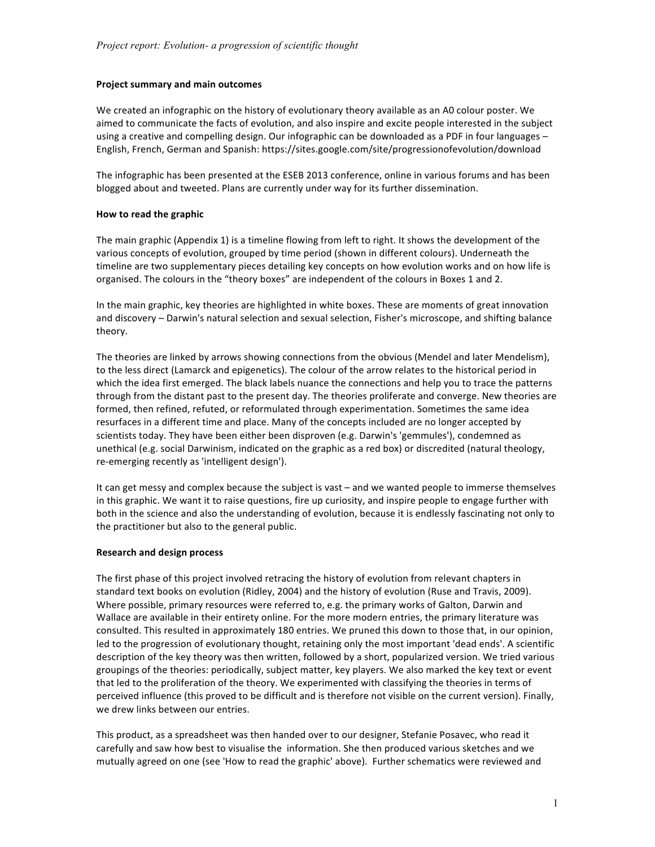## **Project summary and main outcomes**

We created an infographic on the history of evolutionary theory available as an A0 colour poster. We aimed to communicate the facts of evolution, and also inspire and excite people interested in the subject using a creative and compelling design. Our infographic can be downloaded as a PDF in four languages -English, French, German and Spanish: https://sites.google.com/site/progressionofevolution/download

The infographic has been presented at the ESEB 2013 conference, online in various forums and has been blogged about and tweeted. Plans are currently under way for its further dissemination.

### **How to read the graphic**

The main graphic (Appendix 1) is a timeline flowing from left to right. It shows the development of the various concepts of evolution, grouped by time period (shown in different colours). Underneath the timeline are two supplementary pieces detailing key concepts on how evolution works and on how life is organised. The colours in the "theory boxes" are independent of the colours in Boxes 1 and 2.

In the main graphic, key theories are highlighted in white boxes. These are moments of great innovation and discovery - Darwin's natural selection and sexual selection, Fisher's microscope, and shifting balance theory.

The theories are linked by arrows showing connections from the obvious (Mendel and later Mendelism), to the less direct (Lamarck and epigenetics). The colour of the arrow relates to the historical period in which the idea first emerged. The black labels nuance the connections and help you to trace the patterns through from the distant past to the present day. The theories proliferate and converge. New theories are formed, then refined, refuted, or reformulated through experimentation. Sometimes the same idea resurfaces in a different time and place. Many of the concepts included are no longer accepted by scientists today. They have been either been disproven (e.g. Darwin's 'gemmules'), condemned as unethical (e.g. social Darwinism, indicated on the graphic as a red box) or discredited (natural theology, re-emerging recently as 'intelligent design').

It can get messy and complex because the subject is vast - and we wanted people to immerse themselves in this graphic. We want it to raise questions, fire up curiosity, and inspire people to engage further with both in the science and also the understanding of evolution, because it is endlessly fascinating not only to the practitioner but also to the general public.

### **Research and design process**

The first phase of this project involved retracing the history of evolution from relevant chapters in standard text books on evolution (Ridley, 2004) and the history of evolution (Ruse and Travis, 2009). Where possible, primary resources were referred to, e.g. the primary works of Galton, Darwin and Wallace are available in their entirety online. For the more modern entries, the primary literature was consulted. This resulted in approximately 180 entries. We pruned this down to those that, in our opinion, led to the progression of evolutionary thought, retaining only the most important 'dead ends'. A scientific description of the key theory was then written, followed by a short, popularized version. We tried various groupings of the theories: periodically, subject matter, key players. We also marked the key text or event that led to the proliferation of the theory. We experimented with classifying the theories in terms of perceived influence (this proved to be difficult and is therefore not visible on the current version). Finally, we drew links between our entries.

This product, as a spreadsheet was then handed over to our designer, Stefanie Posavec, who read it carefully and saw how best to visualise the information. She then produced various sketches and we mutually agreed on one (see 'How to read the graphic' above). Further schematics were reviewed and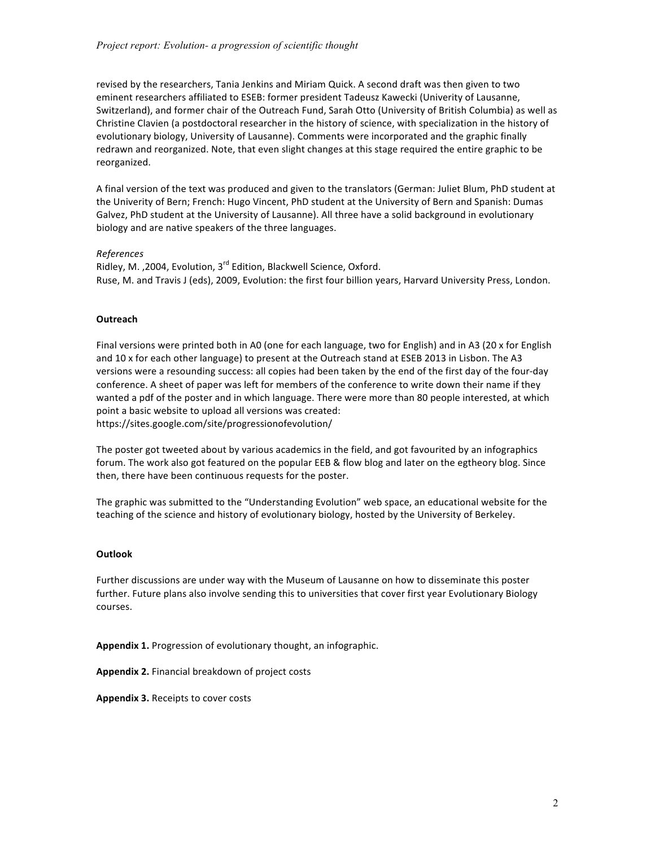revised by the researchers, Tania Jenkins and Miriam Quick. A second draft was then given to two eminent researchers affiliated to ESEB: former president Tadeusz Kawecki (Univerity of Lausanne, Switzerland), and former chair of the Outreach Fund, Sarah Otto (University of British Columbia) as well as Christine Clavien (a postdoctoral researcher in the history of science, with specialization in the history of evolutionary biology, University of Lausanne). Comments were incorporated and the graphic finally redrawn and reorganized. Note, that even slight changes at this stage required the entire graphic to be reorganized. 

A final version of the text was produced and given to the translators (German: Juliet Blum, PhD student at the Univerity of Bern; French: Hugo Vincent, PhD student at the University of Bern and Spanish: Dumas Galvez, PhD student at the University of Lausanne). All three have a solid background in evolutionary biology and are native speakers of the three languages.

# *References*

Ridley, M. , 2004, Evolution, 3<sup>rd</sup> Edition, Blackwell Science, Oxford. Ruse, M. and Travis J (eds), 2009, Evolution: the first four billion years, Harvard University Press, London.

### **Outreach**

Final versions were printed both in A0 (one for each language, two for English) and in A3 (20 x for English and 10 x for each other language) to present at the Outreach stand at ESEB 2013 in Lisbon. The A3 versions were a resounding success: all copies had been taken by the end of the first day of the four-day conference. A sheet of paper was left for members of the conference to write down their name if they wanted a pdf of the poster and in which language. There were more than 80 people interested, at which point a basic website to upload all versions was created: https://sites.google.com/site/progressionofevolution/

The poster got tweeted about by various academics in the field, and got favourited by an infographics forum. The work also got featured on the popular EEB & flow blog and later on the egtheory blog. Since then, there have been continuous requests for the poster.

The graphic was submitted to the "Understanding Evolution" web space, an educational website for the teaching of the science and history of evolutionary biology, hosted by the University of Berkeley.

### **Outlook**

Further discussions are under way with the Museum of Lausanne on how to disseminate this poster further. Future plans also involve sending this to universities that cover first year Evolutionary Biology courses. 

Appendix 1. Progression of evolutionary thought, an infographic.

Appendix 2. Financial breakdown of project costs

Appendix 3. Receipts to cover costs